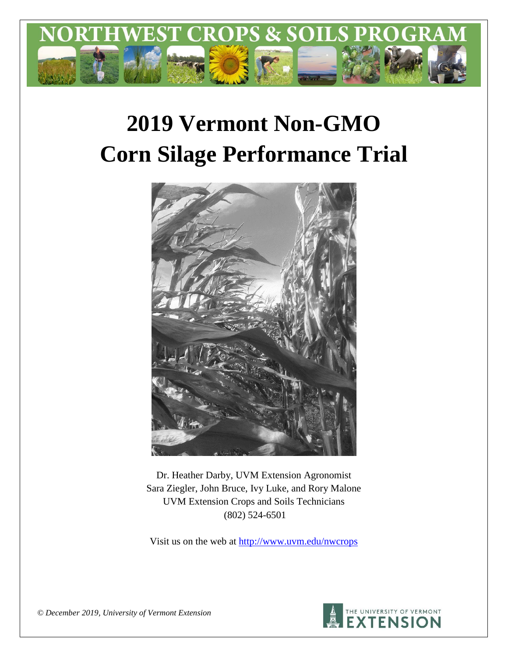

# **2019 Vermont Non-GMO Corn Silage Performance Trial**



Dr. Heather Darby, UVM Extension Agronomist Sara Ziegler, John Bruce, Ivy Luke, and Rory Malone UVM Extension Crops and Soils Technicians (802) 524-6501

Visit us on the web at <http://www.uvm.edu/nwcrops>



*© December 2019, University of Vermont Extension*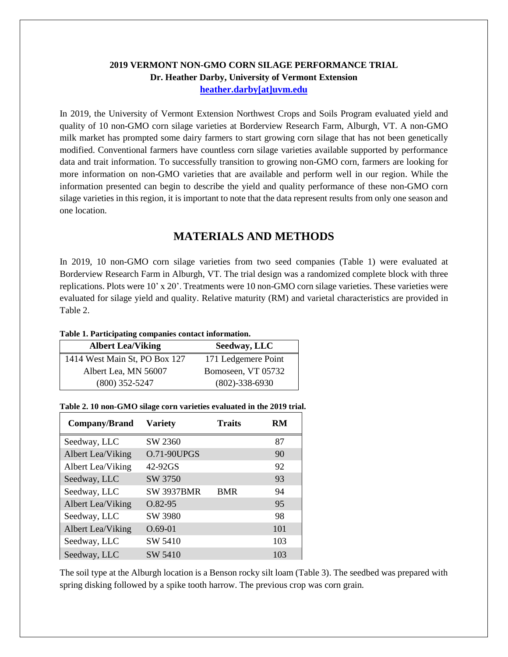## **2019 VERMONT NON-GMO CORN SILAGE PERFORMANCE TRIAL Dr. Heather Darby, University of Vermont Extension [heather.darby\[at\]uvm.edu](mailto:heather.darby@uvm.edu?subject=2013%20Long%20Season%20Corn%20Report)**

In 2019, the University of Vermont Extension Northwest Crops and Soils Program evaluated yield and quality of 10 non-GMO corn silage varieties at Borderview Research Farm, Alburgh, VT. A non-GMO milk market has prompted some dairy farmers to start growing corn silage that has not been genetically modified. Conventional farmers have countless corn silage varieties available supported by performance data and trait information. To successfully transition to growing non-GMO corn, farmers are looking for more information on non-GMO varieties that are available and perform well in our region. While the information presented can begin to describe the yield and quality performance of these non-GMO corn silage varieties in this region, it is important to note that the data represent results from only one season and one location.

# **MATERIALS AND METHODS**

In 2019, 10 non-GMO corn silage varieties from two seed companies (Table 1) were evaluated at Borderview Research Farm in Alburgh, VT. The trial design was a randomized complete block with three replications. Plots were 10' x 20'. Treatments were 10 non-GMO corn silage varieties. These varieties were evaluated for silage yield and quality. Relative maturity (RM) and varietal characteristics are provided in Table 2.

#### **Table 1. Participating companies contact information.**

| <b>Albert Lea/Viking</b>      | Seedway, LLC         |
|-------------------------------|----------------------|
| 1414 West Main St, PO Box 127 | 171 Ledgemere Point  |
| Albert Lea, MN 56007          | Bomoseen, VT 05732   |
| $(800)$ 352-5247              | $(802) - 338 - 6930$ |

| Company/Brand     | <b>Variety</b>     | <b>Traits</b> | RM  |
|-------------------|--------------------|---------------|-----|
| Seedway, LLC      | SW 2360            |               | 87  |
| Albert Lea/Viking | <b>O.71-90UPGS</b> |               | 90  |
| Albert Lea/Viking | 42-92GS            |               | 92  |
| Seedway, LLC      | SW 3750            |               | 93  |
| Seedway, LLC      | <b>SW 3937BMR</b>  | <b>BMR</b>    | 94  |
| Albert Lea/Viking | $O.82 - 95$        |               | 95  |
| Seedway, LLC      | SW 3980            |               | 98  |
| Albert Lea/Viking | $O.69 - 01$        |               | 101 |
| Seedway, LLC      | SW 5410            |               | 103 |
| Seedway, LLC      | SW 5410            |               | 103 |

#### **Table 2. 10 non-GMO silage corn varieties evaluated in the 2019 trial.**

The soil type at the Alburgh location is a Benson rocky silt loam (Table 3). The seedbed was prepared with spring disking followed by a spike tooth harrow. The previous crop was corn grain.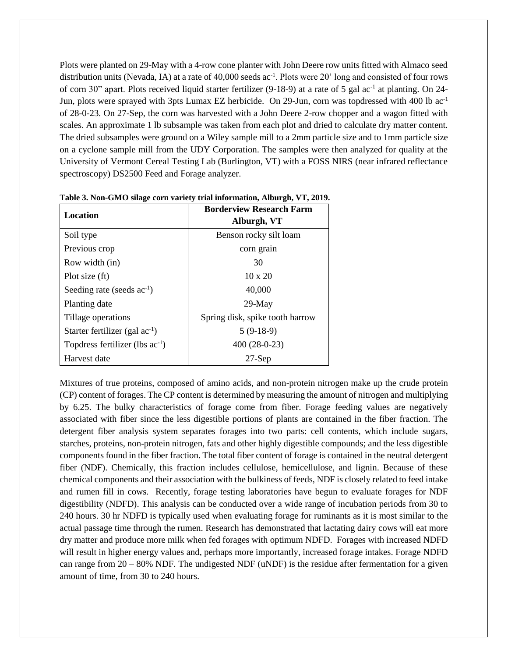Plots were planted on 29-May with a 4-row cone planter with John Deere row units fitted with Almaco seed distribution units (Nevada, IA) at a rate of 40,000 seeds ac<sup>-1</sup>. Plots were 20' long and consisted of four rows of corn 30" apart. Plots received liquid starter fertilizer (9-18-9) at a rate of 5 gal ac<sup>-1</sup> at planting. On 24-Jun, plots were sprayed with 3pts Lumax EZ herbicide. On 29-Jun, corn was topdressed with 400 lb ac-1 of 28-0-23. On 27-Sep, the corn was harvested with a John Deere 2-row chopper and a wagon fitted with scales. An approximate 1 lb subsample was taken from each plot and dried to calculate dry matter content. The dried subsamples were ground on a Wiley sample mill to a 2mm particle size and to 1mm particle size on a cyclone sample mill from the UDY Corporation. The samples were then analyzed for quality at the University of Vermont Cereal Testing Lab (Burlington, VT) with a FOSS NIRS (near infrared reflectance spectroscopy) DS2500 Feed and Forage analyzer.

| Location                             | <b>Borderview Research Farm</b><br>Alburgh, VT |  |  |  |  |
|--------------------------------------|------------------------------------------------|--|--|--|--|
| Soil type                            | Benson rocky silt loam                         |  |  |  |  |
| Previous crop                        | corn grain                                     |  |  |  |  |
| Row width (in)                       | 30                                             |  |  |  |  |
| Plot size (ft)                       | $10 \times 20$                                 |  |  |  |  |
| Seeding rate (seeds $ac^{-1}$ )      | 40,000                                         |  |  |  |  |
| Planting date                        | $29-May$                                       |  |  |  |  |
| Tillage operations                   | Spring disk, spike tooth harrow                |  |  |  |  |
| Starter fertilizer (gal $ac^{-1}$ )  | $5(9-18-9)$                                    |  |  |  |  |
| Topdress fertilizer (lbs $ac^{-1}$ ) | $400(28-0-23)$                                 |  |  |  |  |
| Harvest date                         | $27$ -Sep                                      |  |  |  |  |

**Table 3. Non-GMO silage corn variety trial information, Alburgh, VT, 2019.**

Mixtures of true proteins, composed of amino acids, and non-protein nitrogen make up the crude protein (CP) content of forages. The CP content is determined by measuring the amount of nitrogen and multiplying by 6.25. The bulky characteristics of forage come from fiber. Forage feeding values are negatively associated with fiber since the less digestible portions of plants are contained in the fiber fraction. The detergent fiber analysis system separates forages into two parts: cell contents, which include sugars, starches, proteins, non-protein nitrogen, fats and other highly digestible compounds; and the less digestible components found in the fiber fraction. The total fiber content of forage is contained in the neutral detergent fiber (NDF). Chemically, this fraction includes cellulose, hemicellulose, and lignin. Because of these chemical components and their association with the bulkiness of feeds, NDF is closely related to feed intake and rumen fill in cows. Recently, forage testing laboratories have begun to evaluate forages for NDF digestibility (NDFD). This analysis can be conducted over a wide range of incubation periods from 30 to 240 hours. 30 hr NDFD is typically used when evaluating forage for ruminants as it is most similar to the actual passage time through the rumen. Research has demonstrated that lactating dairy cows will eat more dry matter and produce more milk when fed forages with optimum NDFD. Forages with increased NDFD will result in higher energy values and, perhaps more importantly, increased forage intakes. Forage NDFD can range from  $20 - 80\%$  NDF. The undigested NDF (uNDF) is the residue after fermentation for a given amount of time, from 30 to 240 hours.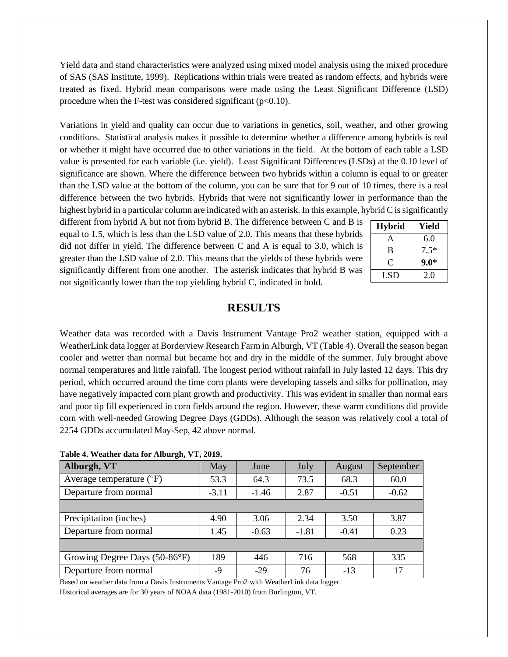Yield data and stand characteristics were analyzed using mixed model analysis using the mixed procedure of SAS (SAS Institute, 1999). Replications within trials were treated as random effects, and hybrids were treated as fixed. Hybrid mean comparisons were made using the Least Significant Difference (LSD) procedure when the F-test was considered significant  $(p<0.10)$ .

Variations in yield and quality can occur due to variations in genetics, soil, weather, and other growing conditions. Statistical analysis makes it possible to determine whether a difference among hybrids is real or whether it might have occurred due to other variations in the field. At the bottom of each table a LSD value is presented for each variable (i.e. yield). Least Significant Differences (LSDs) at the 0.10 level of significance are shown. Where the difference between two hybrids within a column is equal to or greater than the LSD value at the bottom of the column, you can be sure that for 9 out of 10 times, there is a real difference between the two hybrids. Hybrids that were not significantly lower in performance than the highest hybrid in a particular column are indicated with an asterisk. In this example, hybrid C is significantly

different from hybrid A but not from hybrid B. The difference between C and B is equal to 1.5, which is less than the LSD value of 2.0. This means that these hybrids did not differ in yield. The difference between C and A is equal to 3.0, which is greater than the LSD value of 2.0. This means that the yields of these hybrids were significantly different from one another. The asterisk indicates that hybrid B was not significantly lower than the top yielding hybrid C, indicated in bold.

| <b>Hybrid</b> | Yield  |
|---------------|--------|
| A             | 6.0    |
| B             | $7.5*$ |
| C.            | $9.0*$ |
| LSD           | 2.0    |

## **RESULTS**

Weather data was recorded with a Davis Instrument Vantage Pro2 weather station, equipped with a WeatherLink data logger at Borderview Research Farm in Alburgh, VT (Table 4). Overall the season began cooler and wetter than normal but became hot and dry in the middle of the summer. July brought above normal temperatures and little rainfall. The longest period without rainfall in July lasted 12 days. This dry period, which occurred around the time corn plants were developing tassels and silks for pollination, may have negatively impacted corn plant growth and productivity. This was evident in smaller than normal ears and poor tip fill experienced in corn fields around the region. However, these warm conditions did provide corn with well-needed Growing Degree Days (GDDs). Although the season was relatively cool a total of 2254 GDDs accumulated May-Sep, 42 above normal.

|  |  |  |  | Table 4. Weather data for Alburgh, VT, 2019. |
|--|--|--|--|----------------------------------------------|
|--|--|--|--|----------------------------------------------|

| Alburgh, VT                         | May     | June    | July    | August  | September |
|-------------------------------------|---------|---------|---------|---------|-----------|
| Average temperature $({}^{\circ}F)$ | 53.3    | 64.3    | 73.5    | 68.3    | 60.0      |
| Departure from normal               | $-3.11$ | $-1.46$ | 2.87    | $-0.51$ | $-0.62$   |
|                                     |         |         |         |         |           |
| Precipitation (inches)              | 4.90    | 3.06    | 2.34    | 3.50    | 3.87      |
| Departure from normal               | 1.45    | $-0.63$ | $-1.81$ | $-0.41$ | 0.23      |
|                                     |         |         |         |         |           |
| Growing Degree Days (50-86°F)       | 189     | 446     | 716     | 568     | 335       |
| Departure from normal               | -9      | $-29$   | 76      | $-13$   | 17        |

Based on weather data from a Davis Instruments Vantage Pro2 with WeatherLink data logger. Historical averages are for 30 years of NOAA data (1981-2010) from Burlington, VT.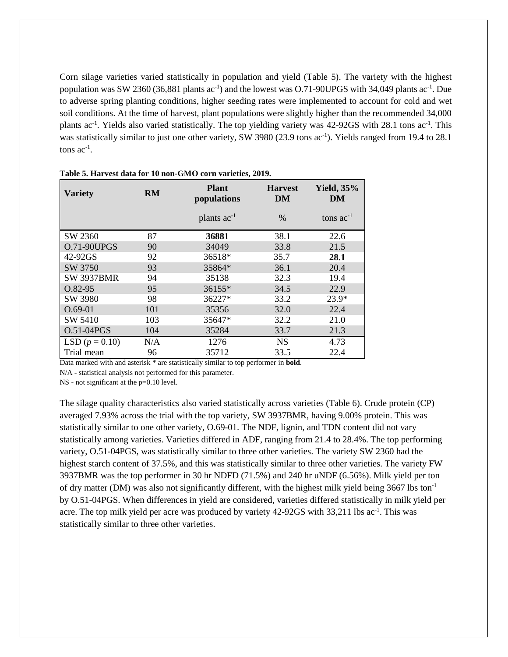Corn silage varieties varied statistically in population and yield (Table 5). The variety with the highest population was SW 2360 (36,881 plants  $ac^{-1}$ ) and the lowest was O.71-90UPGS with 34,049 plants  $ac^{-1}$ . Due to adverse spring planting conditions, higher seeding rates were implemented to account for cold and wet soil conditions. At the time of harvest, plant populations were slightly higher than the recommended 34,000 plants ac<sup>-1</sup>. Yields also varied statistically. The top yielding variety was 42-92GS with 28.1 tons ac<sup>-1</sup>. This was statistically similar to just one other variety, SW 3980 (23.9 tons ac<sup>-1</sup>). Yields ranged from 19.4 to 28.1 tons  $ac^{-1}$ .

| <b>Variety</b>     | RM  | <b>Plant</b><br>populations | <b>Harvest</b><br>DM | <b>Yield, 35%</b><br>DM |  |
|--------------------|-----|-----------------------------|----------------------|-------------------------|--|
|                    |     | plants $ac^{-1}$            | $\%$                 | tons $ac^{-1}$          |  |
| SW 2360            | 87  | 36881                       | 38.1                 | 22.6                    |  |
| <b>O.71-90UPGS</b> | 90  | 34049                       | 33.8                 | 21.5                    |  |
| 42-92GS            | 92  | 36518*                      | 35.7                 | 28.1                    |  |
| SW 3750            | 93  | 35864*                      | 36.1                 | 20.4                    |  |
| <b>SW 3937BMR</b>  | 94  | 35138                       | 32.3                 | 19.4                    |  |
| O.82-95            | 95  | 36155*                      | 34.5                 | 22.9                    |  |
| SW 3980            | 98  | 36227*                      | 33.2                 | $23.9*$                 |  |
| $O.69-01$          | 101 | 35356                       | 32.0                 | 22.4                    |  |
| SW 5410            | 103 | 35647*                      | 32.2                 | 21.0                    |  |
| O.51-04PGS         | 104 | 35284                       | 33.7                 | 21.3                    |  |
| LSD $(p = 0.10)$   | N/A | 1276                        | <b>NS</b>            | 4.73                    |  |
| Trial mean         | 96  | 35712                       | 33.5                 | 22.4                    |  |

|  |  |  | Table 5. Harvest data for 10 non-GMO corn varieties, 2019. |  |
|--|--|--|------------------------------------------------------------|--|
|  |  |  |                                                            |  |

Data marked with and asterisk \* are statistically similar to top performer in **bold**.

N/A - statistical analysis not performed for this parameter.

NS - not significant at the p=0.10 level.

The silage quality characteristics also varied statistically across varieties (Table 6). Crude protein (CP) averaged 7.93% across the trial with the top variety, SW 3937BMR, having 9.00% protein. This was statistically similar to one other variety, O.69-01. The NDF, lignin, and TDN content did not vary statistically among varieties. Varieties differed in ADF, ranging from 21.4 to 28.4%. The top performing variety, O.51-04PGS, was statistically similar to three other varieties. The variety SW 2360 had the highest starch content of 37.5%, and this was statistically similar to three other varieties. The variety FW 3937BMR was the top performer in 30 hr NDFD (71.5%) and 240 hr uNDF (6.56%). Milk yield per ton of dry matter (DM) was also not significantly different, with the highest milk yield being  $3667$  lbs ton<sup>-1</sup> by O.51-04PGS. When differences in yield are considered, varieties differed statistically in milk yield per acre. The top milk yield per acre was produced by variety 42-92GS with 33,211 lbs ac<sup>-1</sup>. This was statistically similar to three other varieties.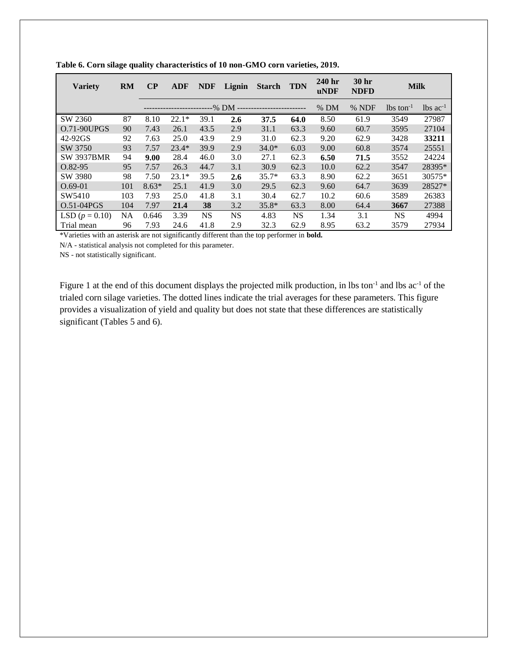| <b>Variety</b>    | <b>RM</b> | $\bf CP$ | <b>ADF</b> | <b>NDF</b> | Lignin    | <b>Starch</b> | <b>TDN</b> | 240 <sub>hr</sub><br><b>uNDF</b> | 30 hr<br><b>NDFD</b> | <b>Milk</b>             |                        |
|-------------------|-----------|----------|------------|------------|-----------|---------------|------------|----------------------------------|----------------------|-------------------------|------------------------|
|                   |           |          |            |            | -% DM --  |               |            | $%$ DM                           | % NDF                | $lbs$ ton <sup>-1</sup> | $lbs$ ac <sup>-1</sup> |
| SW 2360           | 87        | 8.10     | $22.1*$    | 39.1       | 2.6       | 37.5          | 64.0       | 8.50                             | 61.9                 | 3549                    | 27987                  |
| $O.71 - 90UPGS$   | 90        | 7.43     | 26.1       | 43.5       | 2.9       | 31.1          | 63.3       | 9.60                             | 60.7                 | 3595                    | 27104                  |
| 42-92GS           | 92        | 7.63     | 25.0       | 43.9       | 2.9       | 31.0          | 62.3       | 9.20                             | 62.9                 | 3428                    | 33211                  |
| SW 3750           | 93        | 7.57     | $23.4*$    | 39.9       | 2.9       | $34.0*$       | 6.03       | 9.00                             | 60.8                 | 3574                    | 25551                  |
| <b>SW 3937BMR</b> | 94        | 9.00     | 28.4       | 46.0       | 3.0       | 27.1          | 62.3       | 6.50                             | 71.5                 | 3552                    | 24224                  |
| $O.82 - 95$       | 95        | 7.57     | 26.3       | 44.7       | 3.1       | 30.9          | 62.3       | 10.0                             | 62.2                 | 3547                    | 28395*                 |
| SW 3980           | 98        | 7.50     | $23.1*$    | 39.5       | 2.6       | $35.7*$       | 63.3       | 8.90                             | 62.2                 | 3651                    | 30575*                 |
| $O.69-01$         | 101       | $8.63*$  | 25.1       | 41.9       | 3.0       | 29.5          | 62.3       | 9.60                             | 64.7                 | 3639                    | 28527*                 |
| SW5410            | 103       | 7.93     | 25.0       | 41.8       | 3.1       | 30.4          | 62.7       | 10.2                             | 60.6                 | 3589                    | 26383                  |
| $O.51 - 04PGS$    | 104       | 7.97     | 21.4       | 38         | 3.2       | $35.8*$       | 63.3       | 8.00                             | 64.4                 | 3667                    | 27388                  |
| LSD $(p = 0.10)$  | NA        | 0.646    | 3.39       | <b>NS</b>  | <b>NS</b> | 4.83          | <b>NS</b>  | 1.34                             | 3.1                  | <b>NS</b>               | 4994                   |
| Trial mean        | 96        | 7.93     | 24.6       | 41.8       | 2.9       | 32.3          | 62.9       | 8.95                             | 63.2                 | 3579                    | 27934                  |

**Table 6. Corn silage quality characteristics of 10 non-GMO corn varieties, 2019.**

\*Varieties with an asterisk are not significantly different than the top performer in **bold.**

N/A - statistical analysis not completed for this parameter.

NS - not statistically significant.

Figure 1 at the end of this document displays the projected milk production, in lbs ton<sup>-1</sup> and lbs ac<sup>-1</sup> of the trialed corn silage varieties. The dotted lines indicate the trial averages for these parameters. This figure provides a visualization of yield and quality but does not state that these differences are statistically significant (Tables 5 and 6).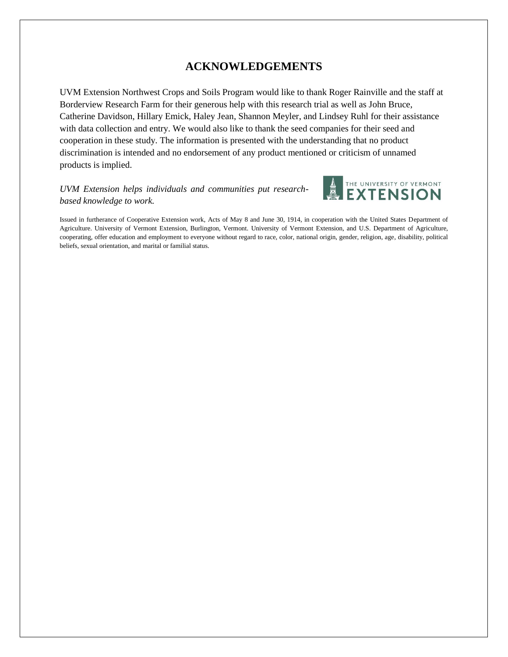# **ACKNOWLEDGEMENTS**

UVM Extension Northwest Crops and Soils Program would like to thank Roger Rainville and the staff at Borderview Research Farm for their generous help with this research trial as well as John Bruce, Catherine Davidson, Hillary Emick, Haley Jean, Shannon Meyler, and Lindsey Ruhl for their assistance with data collection and entry. We would also like to thank the seed companies for their seed and cooperation in these study. The information is presented with the understanding that no product discrimination is intended and no endorsement of any product mentioned or criticism of unnamed products is implied.

## *UVM Extension helps individuals and communities put researchbased knowledge to work.*



Issued in furtherance of Cooperative Extension work, Acts of May 8 and June 30, 1914, in cooperation with the United States Department of Agriculture. University of Vermont Extension, Burlington, Vermont. University of Vermont Extension, and U.S. Department of Agriculture, cooperating, offer education and employment to everyone without regard to race, color, national origin, gender, religion, age, disability, political beliefs, sexual orientation, and marital or familial status.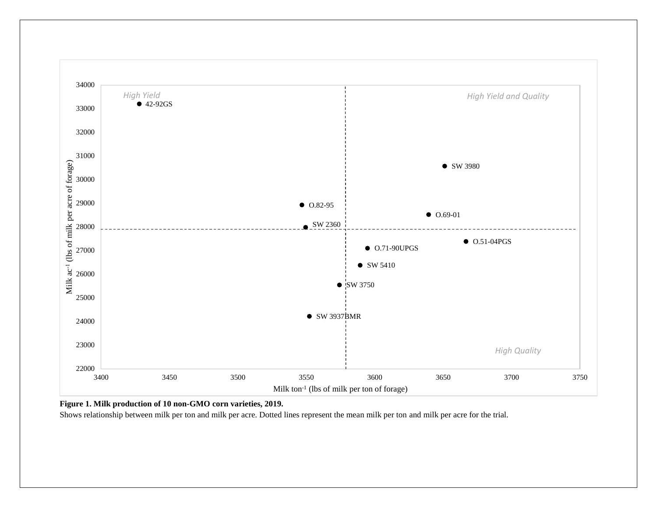

**Figure 1. Milk production of 10 non-GMO corn varieties, 2019.**

Shows relationship between milk per ton and milk per acre. Dotted lines represent the mean milk per ton and milk per acre for the trial.